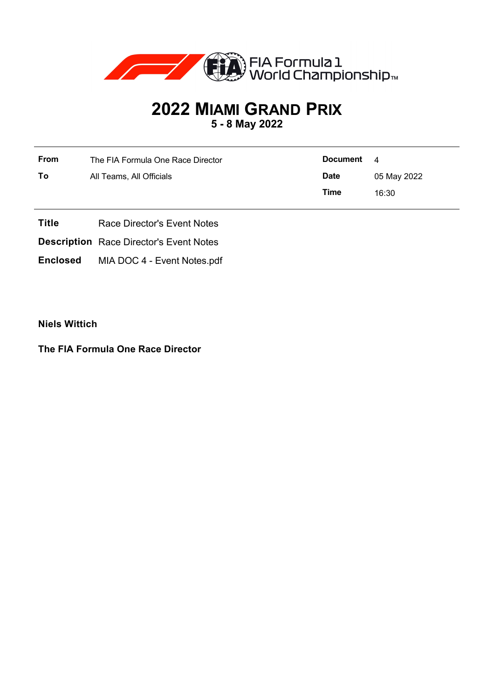

## **2022 MIAMI GRAND PRIX 5 - 8 May 2022**

| From | The FIA Formula One Race Director | Document    | $\overline{\mathbf{4}}$ |
|------|-----------------------------------|-------------|-------------------------|
| To   | All Teams, All Officials          | <b>Date</b> | 05 May 2022             |
|      |                                   | Time        | 16:30                   |

- **Title** Race Director's Event Notes
- **Description** Race Director's Event Notes
- **Enclosed** MIA DOC 4 Event Notes.pdf

**Niels Wittich**

**The FIA Formula One Race Director**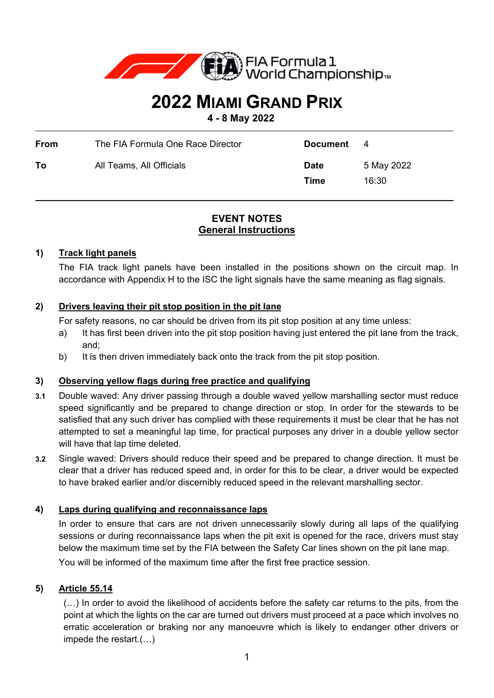

# **2022 MIAMI GRAND PRIX**

 $\overline{a}$ 

 $\overline{a}$ 

**4 - 8 May 2022**

| <b>From</b> | The FIA Formula One Race Director | <b>Document</b>     | - 4                 |
|-------------|-----------------------------------|---------------------|---------------------|
| То          | All Teams, All Officials          | <b>Date</b><br>Time | 5 May 2022<br>16:30 |

## **EVENT NOTES General Instructions**

## **1) Track light panels**

The FIA track light panels have been installed in the positions shown on the circuit map. In accordance with Appendix H to the ISC the light signals have the same meaning as flag signals.

## **2) Drivers leaving their pit stop position in the pit lane**

For safety reasons, no car should be driven from its pit stop position at any time unless:

- a) It has first been driven into the pit stop position having just entered the pit lane from the track, and;
- b) It is then driven immediately back onto the track from the pit stop position.

## **3) Observing yellow flags during free practice and qualifying**

- **3.1** Double waved: Any driver passing through a double waved yellow marshalling sector must reduce speed significantly and be prepared to change direction or stop. In order for the stewards to be satisfied that any such driver has complied with these requirements it must be clear that he has not attempted to set a meaningful lap time, for practical purposes any driver in a double yellow sector will have that lap time deleted.
- **3.2** Single waved: Drivers should reduce their speed and be prepared to change direction. It must be clear that a driver has reduced speed and, in order for this to be clear, a driver would be expected to have braked earlier and/or discernibly reduced speed in the relevant marshalling sector.

## **4) Laps during qualifying and reconnaissance laps**

In order to ensure that cars are not driven unnecessarily slowly during all laps of the qualifying sessions or during reconnaissance laps when the pit exit is opened for the race, drivers must stay below the maximum time set by the FIA between the Safety Car lines shown on the pit lane map. You will be informed of the maximum time after the first free practice session.

## **5) Article 55.14**

(…) In order to avoid the likelihood of accidents before the safety car returns to the pits, from the point at which the lights on the car are turned out drivers must proceed at a pace which involves no erratic acceleration or braking nor any manoeuvre which is likely to endanger other drivers or impede the restart.(…)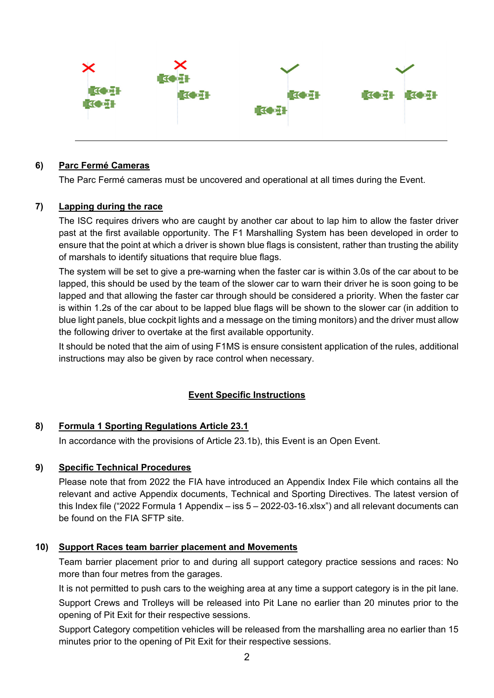

#### **6) Parc Fermé Cameras**

The Parc Fermé cameras must be uncovered and operational at all times during the Event.

#### **7) Lapping during the race**

The ISC requires drivers who are caught by another car about to lap him to allow the faster driver past at the first available opportunity. The F1 Marshalling System has been developed in order to ensure that the point at which a driver is shown blue flags is consistent, rather than trusting the ability of marshals to identify situations that require blue flags.

The system will be set to give a pre-warning when the faster car is within 3.0s of the car about to be lapped, this should be used by the team of the slower car to warn their driver he is soon going to be lapped and that allowing the faster car through should be considered a priority. When the faster car is within 1.2s of the car about to be lapped blue flags will be shown to the slower car (in addition to blue light panels, blue cockpit lights and a message on the timing monitors) and the driver must allow the following driver to overtake at the first available opportunity.

It should be noted that the aim of using F1MS is ensure consistent application of the rules, additional instructions may also be given by race control when necessary.

## **Event Specific Instructions**

#### **8) Formula 1 Sporting Regulations Article 23.1**

In accordance with the provisions of Article 23.1b), this Event is an Open Event.

#### **9) Specific Technical Procedures**

Please note that from 2022 the FIA have introduced an Appendix Index File which contains all the relevant and active Appendix documents, Technical and Sporting Directives. The latest version of this Index file ("2022 Formula 1 Appendix – iss 5 – 2022-03-16.xlsx") and all relevant documents can be found on the FIA SFTP site.

#### **10) Support Races team barrier placement and Movements**

Team barrier placement prior to and during all support category practice sessions and races: No more than four metres from the garages.

It is not permitted to push cars to the weighing area at any time a support category is in the pit lane. Support Crews and Trolleys will be released into Pit Lane no earlier than 20 minutes prior to the opening of Pit Exit for their respective sessions.

Support Category competition vehicles will be released from the marshalling area no earlier than 15 minutes prior to the opening of Pit Exit for their respective sessions.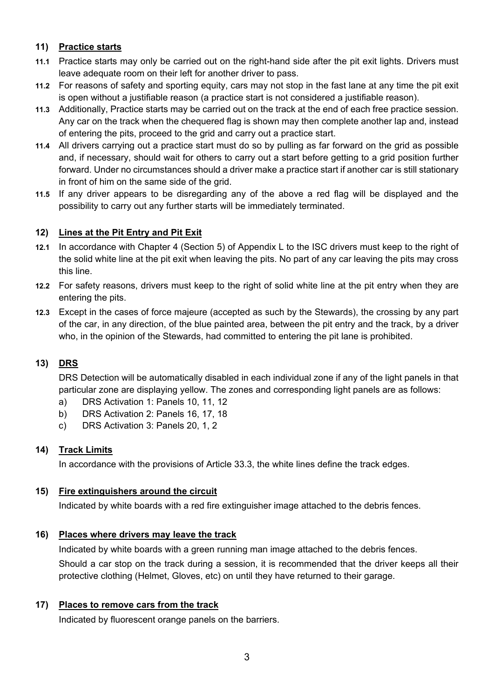## **11) Practice starts**

- **11.1** Practice starts may only be carried out on the right-hand side after the pit exit lights. Drivers must leave adequate room on their left for another driver to pass.
- **11.2** For reasons of safety and sporting equity, cars may not stop in the fast lane at any time the pit exit is open without a justifiable reason (a practice start is not considered a justifiable reason).
- **11.3** Additionally, Practice starts may be carried out on the track at the end of each free practice session. Any car on the track when the chequered flag is shown may then complete another lap and, instead of entering the pits, proceed to the grid and carry out a practice start.
- **11.4** All drivers carrying out a practice start must do so by pulling as far forward on the grid as possible and, if necessary, should wait for others to carry out a start before getting to a grid position further forward. Under no circumstances should a driver make a practice start if another car is still stationary in front of him on the same side of the grid.
- **11.5** If any driver appears to be disregarding any of the above a red flag will be displayed and the possibility to carry out any further starts will be immediately terminated.

## **12) Lines at the Pit Entry and Pit Exit**

- **12.1** In accordance with Chapter 4 (Section 5) of Appendix L to the ISC drivers must keep to the right of the solid white line at the pit exit when leaving the pits. No part of any car leaving the pits may cross this line.
- **12.2** For safety reasons, drivers must keep to the right of solid white line at the pit entry when they are entering the pits.
- **12.3** Except in the cases of force majeure (accepted as such by the Stewards), the crossing by any part of the car, in any direction, of the blue painted area, between the pit entry and the track, by a driver who, in the opinion of the Stewards, had committed to entering the pit lane is prohibited.

## **13) DRS**

DRS Detection will be automatically disabled in each individual zone if any of the light panels in that particular zone are displaying yellow. The zones and corresponding light panels are as follows:

- a) DRS Activation 1: Panels 10, 11, 12
- b) DRS Activation 2: Panels 16, 17, 18
- c) DRS Activation 3: Panels 20, 1, 2

## **14) Track Limits**

In accordance with the provisions of Article 33.3, the white lines define the track edges.

## **15) Fire extinguishers around the circuit**

Indicated by white boards with a red fire extinguisher image attached to the debris fences.

## **16) Places where drivers may leave the track**

Indicated by white boards with a green running man image attached to the debris fences.

Should a car stop on the track during a session, it is recommended that the driver keeps all their protective clothing (Helmet, Gloves, etc) on until they have returned to their garage.

## **17) Places to remove cars from the track**

Indicated by fluorescent orange panels on the barriers.